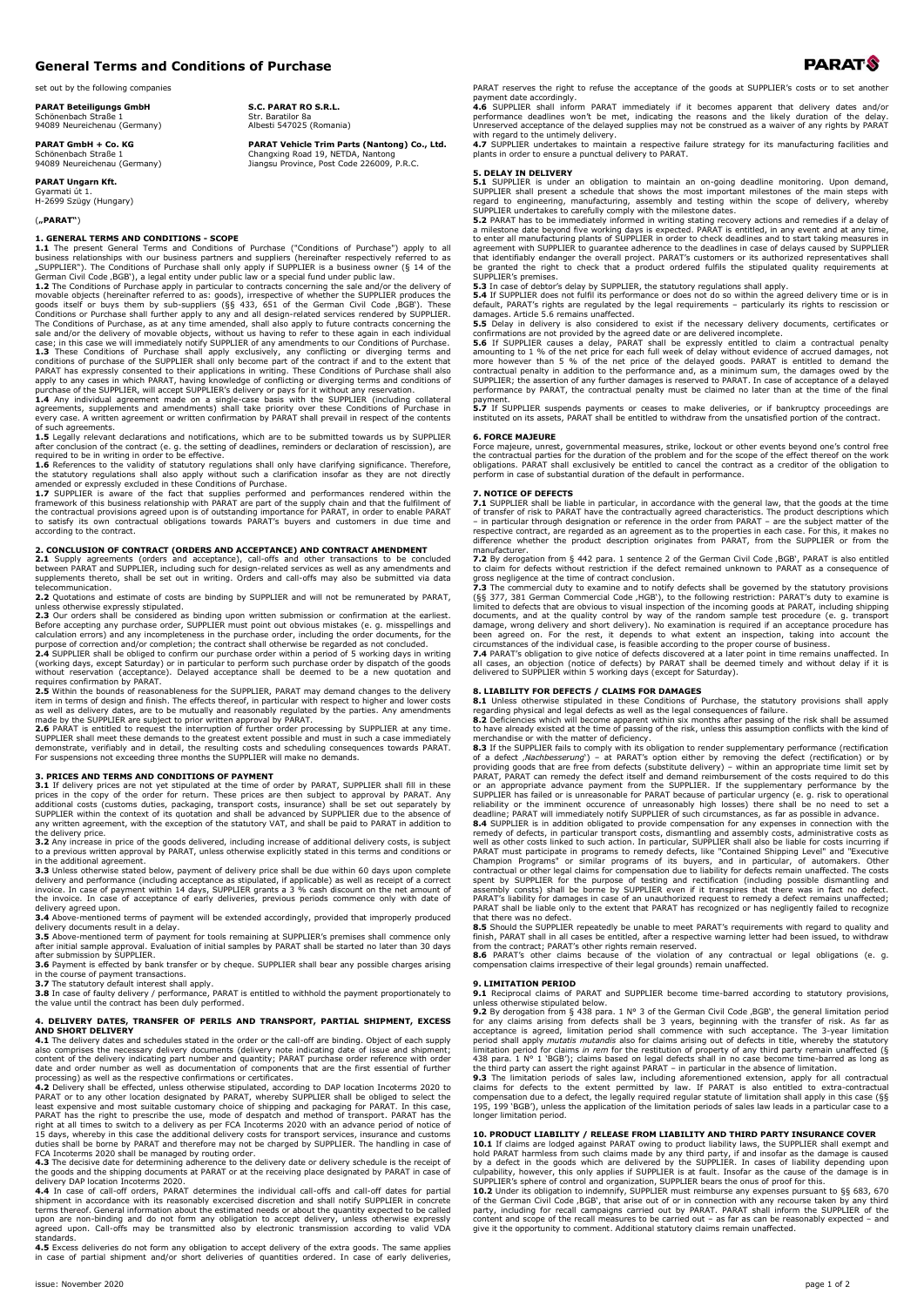# **General Terms and Conditions of Purchase**

set out by the following companies

**PARAT Beteiligungs GmbH** Schönenbach Straße 1 94089 Neureichenau (Germany)

**PARAT GmbH + Co. KG** Schönenbach Straße 94089 Neureichenau (Germany)

**PARAT Ungarn Kft.** Gyarmati út 1.

H-2699 Szügy (Hungary)

# (**"PARAT"**)

**1. GENERAL TERMS AND CONDITIONS - SCOPE**<br>**1.1** The present General Terms and Conditions of Purchase ("Conditions of Purchase") apply to all<br>business relationships with our business partners and suppliers (hereinafter resp

**1.2** The Conditions of Purchase apply in particular to contracts concerning the sale and/or the delivery of words objects (hereinafter referred to as: goods itself or buys them by sub-suppliers (§§ 433, 651 of the German

**1.5** Legally relevant declarations and notifications, which are to be submitted towards us by SUPPLIER<br>after conclusion of the contract (e. g. the setting of deadlines, reminders or declaration of rescission), are<br>require

**2. CONCLUSION OF CONTRACT (ORDERS AND ACCEPTANCE) AND CONTRACT AMENDMENT<br>2.1 Supply agreements (orders and acceptance), call-offs and other transactions to be concluded<br>between PARAT and SUPPLIER, including such for desig** 

unless otherwise expressly stipulated.<br>2.3 Our orders shall be considered as binding upon written submission or confirmation at the earliest.<br>Before accepting any purchase order, SUPPLIER must point out obvious mistakes (e

(working days, except Saturday) or in particular to perform such purchase order by dispatch of the goods<br>without reservation (acceptance). Delayed acceptance shall be deemed to be a new quotation and<br>**2.5** Within the bound

**2.6** PARAT is entitled to request the interruption of further order processing by SUPPLIER at any time.<br>SUPPLIER shall meet these demands to the greatest extent possible and must in such a case immediately<br>demonstrate, ve

### **3. PRICES AND TERMS AND CONDITIONS OF PAYMENT**

**3.1** If delivery prices are not yet stipulated at the time of order by PARAT, SUPPLIER shall fill in these prices are only existed at the time of order to approval by PARAT. Any additional costs (customs duties, packaging the delivery price.

**3.2** Any increase in price of the goods delivered, including increase of additional delivery costs, is subject

to a previous written approval by PARAT, unless otherwise explicitly stated in this terms and conditions or<br>in the additional agreement.<br>**3.3** Unless otherwise stated below, payment of delivery price shall be due within 60

delivery agreed upon.<br>3.4 Above-mentioned terms of payment will be extended accordingly, provided that improperly produced<br>delivery documents result in a delay.<br>3.5 Above-mentioned term of payment for tools remaining at SU

after submission by SUPPLIER.<br>**3.6** Payment is effected by bank transfer or by cheque. SUPPLIER shall bear any possible charges arising<br>in the course of payment transactions.<br>**3.7** The statutory default interest shall appl

**3.8** In case of faulty delivery / performance, PARAT is entitled to withhold the payment proportionately to the value until the contract has been duly performed.

**4. DELIVERY DATES, TRANSFER OF PERILS AND TRANSPORT, PARTIAL SHIPMENT, EXCESS<br>AND SHORT DELIVERY<br>4.1 The delivery dates and schedules stated in the order or the call-off are binding. Object of each supply<br>also comprises t** 

processing) as well as the respective confirmations or certificates.<br>4.2 Delivery shall be effected, unless otherwise stipulated, according to DAP location Incoterms 2020 to<br>PARAT or to any other location designated by PAR

the goods and the shipping documents at PARAT or at the receiving place designated by PARAT in case of delivery DAP location Incoterms 2020 ery DAP location Incoterms 2020.

4.4 In case of call-off orders, PARAT determines the individual call-offs and call-off dates for partial<br>shipment in accordance with its reasonably excercised discretion and shall notify SUPPLIER in concrete<br>terms thereof. standards.

**4.5** Excess deliveries do not form any obligation to accept delivery of the extra goods. The same applies in case of partial shipment and/or short deliveries of quantities ordered. In case of early deliveries,

PARAT reserves the right to refuse the acceptance of the goods at SUPPLIER's costs or to set an payment date accordingly.

**4.6** SUPPLIER shall inform PARAT immediately if it becomes apparent that delivery dates and/or<br>performance deadlines won't be met, indicating the reasons and the likely duration of the delay-<br>Unreserved acceptance of the

### **5. DELAY IN DELIVERY**

**5.1** SUPPLIER is under an obligation to maintain an on-going deadline monitoring. Upon demand,<br>SUPPLIER shall present a schedule that shows the most important milestones of the main steps with

regard to engineering, manufacturing, assembly and testing within the scope of delivery, whereby<br>SUPPLIER undertakes to carefully comply with the milestone dates.<br>**S.2** PARAT has to be immediately informed in writing stati

**5.3** In case of debtor's delay by SUPPLIER, the statutory regulations shall apply.<br>5.4 If SUPPLIER does not fulfil its performance or does not do so within the agreed delivery time or is in<br>default, PARAT's rights are reg

**5.5** Delay in delivery is also considered to exist if the necessary delivery documents, certificates or

confirmations are not provided by the agreed date or are delivered incomplete.<br>5.6 If SUPPLIER causes a delay, PARAT shall be expressly entitled to claim a contractual penalty<br>amounting to 1 % of the net price for each ful performance by PARAT, the contractual penalty must be claimed no later than at the time of the final payment.

**5.7** If SUPPLIER suspends payments or ceases to make deliveries, or if bankruptcy proceedings are instituted on its assets, PARAT shall be entitled to withdraw from the unsatisfied portion of the contract.

### **6. FORCE MAJEURE**

Force majeure, unrest, governmental measures, strike, lockout or other events beyond one's control free<br>the contractual parties for the duration of the problem and for the scope of the effect thereof on the work<br>obligation

**7. NOTICE OF DEFECTS 7.1** SUPPLIER shall be liable in particular, in accordance with the general law, that the goods at the time of transfer of risk to PARAT have the contractually agreed characteristics. The product descriptions which<br>– in particular through designation or reference in the order from PARAT – are the subject matter of the<br>respective

manufacturer.<br>The Gauge of the German Civil Code ,BGB', PARAT is also entitled<br>to claim for defects without restriction if the defect remained unknown to PARAT as a consequence of<br>gross negligence at the time of contract c

all cases, an objection (notice of defects) by PARAT shall be deemed timely and without delay if it is delivered to SUPPLIER within 5 working days (except for Saturday).

**8. LIABILITY FOR DEFECTS / CLAIMS FOR DAMAGES**<br>**8.1** Unless otherwise stipulated in these Conditions of Purchase, the statutory provisions shall apply<br>regarding physical and legal defects as well as the legal consequences

**8.2** Deficiencies which will become apparent within six months after passing of the risk shall be assumed to have already existed at the time of passing of the risk s, unless this assumption conflicts with the kind of me

remedy of defects, in particular transport costs, dismantling and assembly costs, administrative costs as well as other costs linked to such action. In particular parallas of parallas of parallas of parallas must participa

PARAT shall be liable only to the extent that PARAT has recognized or has negligently failed to recognize<br>that there was no defect.<br>8.5 Should the SUPPLIER repeatedly be unable to meet PARAT's requirements with regard to q

**8.6** PARAT's other claims because of the violation of any contractual or legal obligations (e. g. compensation claims irrespective of their legal grounds) remain unaffected.

### **9. LIMITATION PERIOD**

**9.1** Reciprocal claims of PARAT and SUPPLIER become time-barred according to statutory provisions,

unless otherwise stipulated below.<br>**9.2** By derogation from § 438 para. 1 N° 3 of the German Civil Code ,BGB', the general limitation period for any claims arising from defects shall be 3 years, beginning with the transfer

9.3 The limitation periods of sales law, including aforementioned extension, apply for all contractual claims for defects to the extent permitted by law. If PARAT is laiso entitled to extra-contractual compensation due to longer limitation period.

### **10. PRODUCT LIABILITY / RELEASE FROM LIABILITY AND THIRD PARTY INSURANCE COVER**

**10.1** If claims are lodged against PARAT owing to product liability laws, the SUPPLIER shall exempt and<br>hold PARAT harmless from such claims made by any third party, if and insofar as the damage is caused<br>by a defect in t

sulpability, however, this only applies if SUPPLIER is at fault. Insofar as the cause of the damage is in SUPPLIER's sphere of control and organization, SUPPLIER bears the onus of proof for this.<br>
10.2 Under its obligation

# Str. Baratilor 8a Albesti 547025 (Romania)

**S.C. PARAT RO S.R.L.**

**PARAT Vehicle Trim Parts (Nantong) Co., Ltd.** Changxing Road 19, NETDA, Nantong Jiangsu Province, Post Code 226009, P.R.C.